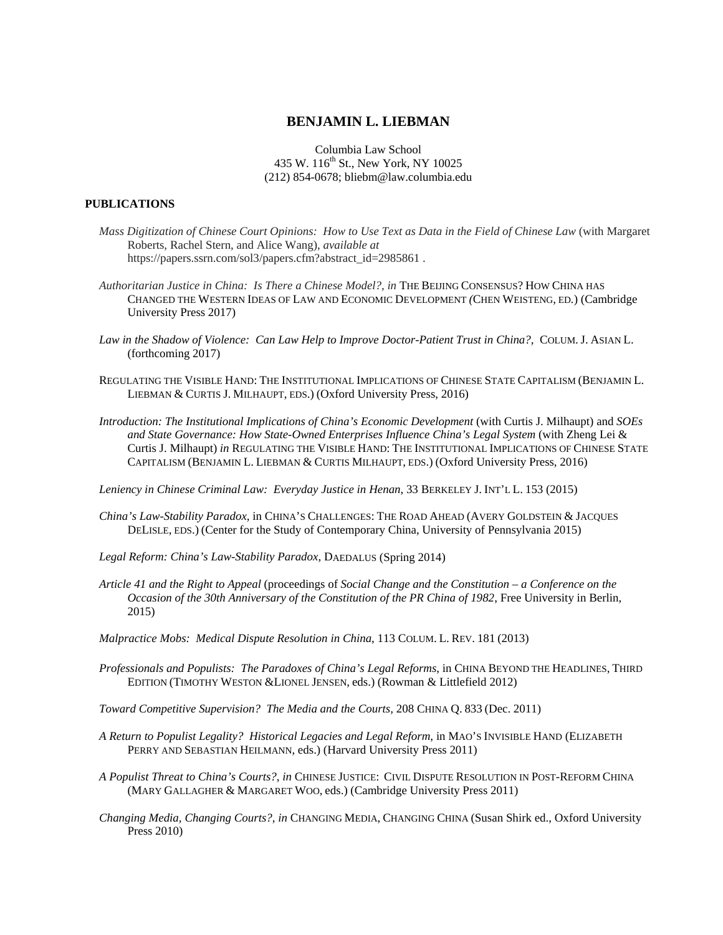## **BENJAMIN L. LIEBMAN**

Columbia Law School 435 W. 116<sup>th</sup> St., New York, NY 10025 (212) 854-0678; bliebm@law.columbia.edu

## **PUBLICATIONS**

- *Mass Digitization of Chinese Court Opinions: How to Use Text as Data in the Field of Chinese Law* (with Margaret Roberts, Rachel Stern, and Alice Wang), *available at*  https://papers.ssrn.com/sol3/papers.cfm?abstract\_id=2985861.
- *Authoritarian Justice in China: Is There a Chinese Model?*, *in* THE BEIJING CONSENSUS? HOW CHINA HAS CHANGED THE WESTERN IDEAS OF LAW AND ECONOMIC DEVELOPMENT *(*CHEN WEISTENG, ED*.*) (Cambridge University Press 2017)
- *Law in the Shadow of Violence: Can Law Help to Improve Doctor-Patient Trust in China?*, COLUM. J. ASIAN L. (forthcoming 2017)
- REGULATING THE VISIBLE HAND: THE INSTITUTIONAL IMPLICATIONS OF CHINESE STATE CAPITALISM (BENJAMIN L. LIEBMAN & CURTIS J. MILHAUPT, EDS.) (Oxford University Press, 2016)
- *Introduction: The Institutional Implications of China's Economic Development* (with Curtis J. Milhaupt) and *SOEs and State Governance: How State-Owned Enterprises Influence China's Legal System* (with Zheng Lei & Curtis J. Milhaupt) *in* REGULATING THE VISIBLE HAND: THE INSTITUTIONAL IMPLICATIONS OF CHINESE STATE CAPITALISM (BENJAMIN L. LIEBMAN & CURTIS MILHAUPT, EDS.) (Oxford University Press, 2016)

*Leniency in Chinese Criminal Law: Everyday Justice in Henan*, 33 BERKELEY J. INT'L L. 153 (2015)

- *China's Law-Stability Paradox,* in CHINA'S CHALLENGES: THE ROAD AHEAD (AVERY GOLDSTEIN & JACQUES DELISLE, EDS.) (Center for the Study of Contemporary China, University of Pennsylvania 2015)
- Legal Reform: China's Law-Stability Paradox, DAEDALUS (Spring 2014)
- *Article 41 and the Right to Appeal* (proceedings of *Social Change and the Constitution a Conference on the Occasion of the 30th Anniversary of the Constitution of the PR China of 1982*, Free University in Berlin, 2015)
- *Malpractice Mobs: Medical Dispute Resolution in China*, 113 COLUM. L. REV. 181 (2013)
- *Professionals and Populists: The Paradoxes of China's Legal Reforms*, in CHINA BEYOND THE HEADLINES, THIRD EDITION (TIMOTHY WESTON &LIONEL JENSEN, eds.) (Rowman & Littlefield 2012)
- *Toward Competitive Supervision? The Media and the Courts,* 208 CHINA Q. 833 (Dec. 2011)
- *A Return to Populist Legality? Historical Legacies and Legal Reform*, in MAO'S INVISIBLE HAND (ELIZABETH PERRY AND SEBASTIAN HEILMANN, eds.) (Harvard University Press 2011)
- *A Populist Threat to China's Courts?*, *in* CHINESE JUSTICE: CIVIL DISPUTE RESOLUTION IN POST-REFORM CHINA (MARY GALLAGHER & MARGARET WOO, eds.) (Cambridge University Press 2011)
- *Changing Media, Changing Courts?*, *in* CHANGING MEDIA, CHANGING CHINA (Susan Shirk ed., Oxford University Press 2010)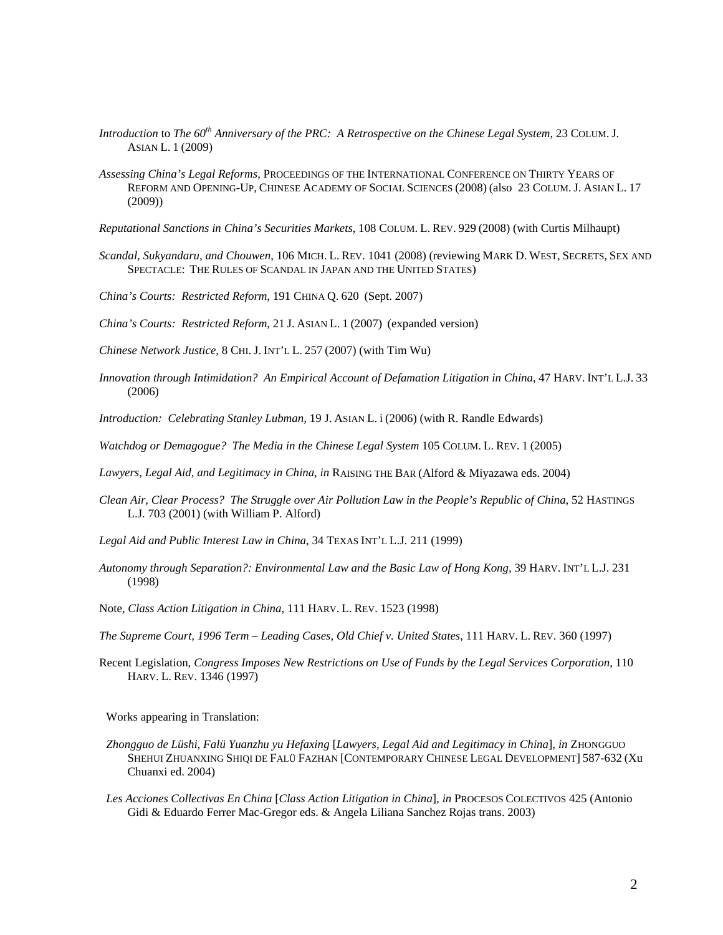- *Introduction* to *The 60th Anniversary of the PRC: A Retrospective on the Chinese Legal System*, 23 COLUM. J. ASIAN L. 1 (2009)
- *Assessing China's Legal Reforms*, PROCEEDINGS OF THE INTERNATIONAL CONFERENCE ON THIRTY YEARS OF REFORM AND OPENING-UP, CHINESE ACADEMY OF SOCIAL SCIENCES (2008) (also 23 COLUM. J. ASIAN L. 17 (2009))
- *Reputational Sanctions in China's Securities Markets*, 108 COLUM. L. REV. 929 (2008) (with Curtis Milhaupt)
- *Scandal, Sukyandaru, and Chouwen*, 106 MICH. L. REV. 1041 (2008) (reviewing MARK D. WEST, SECRETS, SEX AND SPECTACLE: THE RULES OF SCANDAL IN JAPAN AND THE UNITED STATES)
- *China's Courts: Restricted Reform*, 191 CHINA Q. 620 (Sept. 2007)
- *China's Courts: Restricted Reform*, 21 J. ASIAN L. 1 (2007) (expanded version)
- *Chinese Network Justice*, 8 CHI. J. INT'L L. 257 (2007) (with Tim Wu)
- *Innovation through Intimidation? An Empirical Account of Defamation Litigation in China*, 47 HARV. INT'L L.J. 33 (2006)
- *Introduction: Celebrating Stanley Lubman*, 19 J. ASIAN L. i (2006) (with R. Randle Edwards)
- *Watchdog or Demagogue? The Media in the Chinese Legal System* 105 COLUM. L. REV. 1 (2005)
- *Lawyers, Legal Aid, and Legitimacy in China*, *in* RAISING THE BAR (Alford & Miyazawa eds. 2004)
- *Clean Air, Clear Process? The Struggle over Air Pollution Law in the People's Republic of China*, 52 HASTINGS L.J. 703 (2001) (with William P. Alford)
- *Legal Aid and Public Interest Law in China*, 34 TEXAS INT'L L.J. 211 (1999)
- *Autonomy through Separation?: Environmental Law and the Basic Law of Hong Kong,* 39 HARV. INT'L L.J. 231 (1998)
- Note, *Class Action Litigation in China*, 111 HARV. L. REV. 1523 (1998)
- *The Supreme Court, 1996 Term Leading Cases, Old Chief v. United States*, 111 HARV. L. REV. 360 (1997)
- Recent Legislation, *Congress Imposes New Restrictions on Use of Funds by the Legal Services Corporation*, 110 HARV. L. REV. 1346 (1997)

Works appearing in Translation:

- *Zhongguo de Lüshi, Falü Yuanzhu yu Hefaxing* [*Lawyers, Legal Aid and Legitimacy in China*], *in* ZHONGGUO SHEHUI ZHUANXING SHIQI DE FALÜ FAZHAN [CONTEMPORARY CHINESE LEGAL DEVELOPMENT] 587-632 (Xu Chuanxi ed. 2004)
- *Les Acciones Collectivas En China* [*Class Action Litigation in China*], *in* PROCESOS COLECTIVOS 425 (Antonio Gidi & Eduardo Ferrer Mac-Gregor eds. & Angela Liliana Sanchez Rojas trans. 2003)